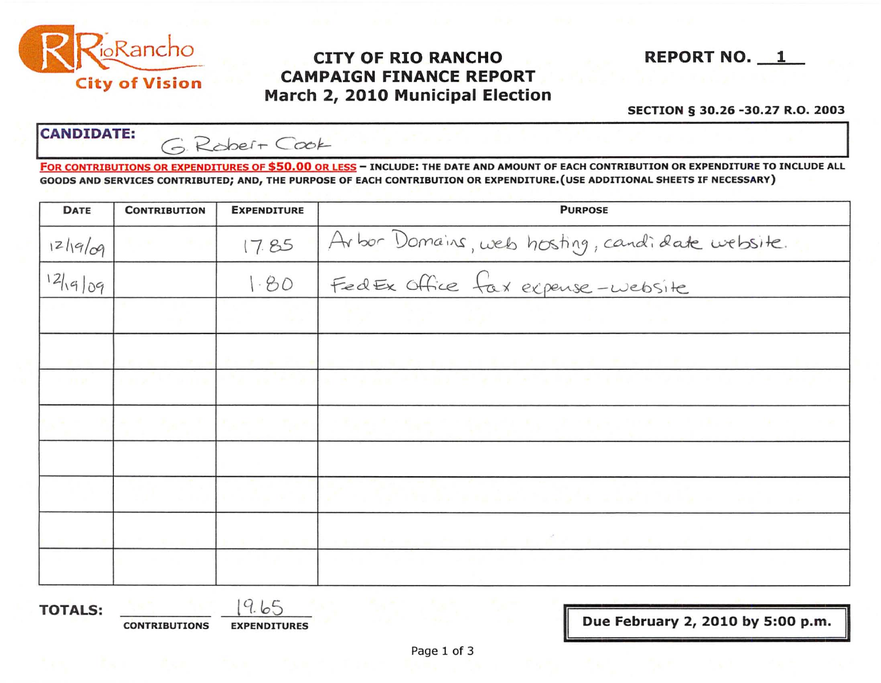

# $^{10}$ Rancho **CITY OF RIO RANCHO** REPORT NO. 1 City of Vision CAMPAIGN FINANCE REPORT March 2, 2010 Municipal Election

#### SECTION § 30.26 -30.27 R.O. 2003

CANDIDATE: GRobert Cook

FOR CONTRIBUTIONS OR EXPENDITURES OF \$50.00 OR LESS - INCLUDE: THE DATE AND AMOUNT OF EACH CONTRIBUTION OR EXPENDITURE TO INCLUDE ALL GOODS AND SERVICES CONTRIBUTED; AND, THE PURPOSE OF EACH CONTRIBUTION OR EXPENDITURE.(USE ADDITIONAL SHEETS IF NECESSARY)

| <b>DATE</b>       | <b>CONTRIBUTION</b>               | <b>EXPENDITURE</b>                  | <b>PURPOSE</b>                                                                                        |  |  |
|-------------------|-----------------------------------|-------------------------------------|-------------------------------------------------------------------------------------------------------|--|--|
| 1219/09           | and the state                     | 17.85                               | Arbor Domains, web hosting, candidate website.                                                        |  |  |
| 12 19 09          |                                   | 1.80                                | FedEx Office fax expense-website                                                                      |  |  |
|                   |                                   | <b>Carl de</b>                      | the property of the property of the property of                                                       |  |  |
|                   |                                   |                                     | <b>ALCOHOL: A REPORT OF A STATE</b>                                                                   |  |  |
| <b>TEST SEC</b>   |                                   |                                     | analytic compared and effective and range of them to the Australian factor to Australian Construction |  |  |
| <b>Contractor</b> | And I have to the send of the co- |                                     | 机分离医器械 医子宫血清 计分布医数据的 机二乙炔 医半圆突 计指令机 医心包 医氯化合物 人名德尔德 医心包                                               |  |  |
|                   |                                   |                                     | 5 47 이제의 주위기를 바로 수 위기 기능 구성이 되는 수용이 17 년 시설 - - - - - - - - - - - - - - - -                           |  |  |
|                   |                                   |                                     |                                                                                                       |  |  |
| <b>TOTALS:</b>    | <b>CONTRISITIONS</b>              | 9.65<br><b><i>EYDENDITIIDES</i></b> | Due February 2, 2010 by 5:00 p.m.                                                                     |  |  |

CONTRIBUTIONS EXPENDITURES I Due February 2, 2010 by 5:00 p.m. I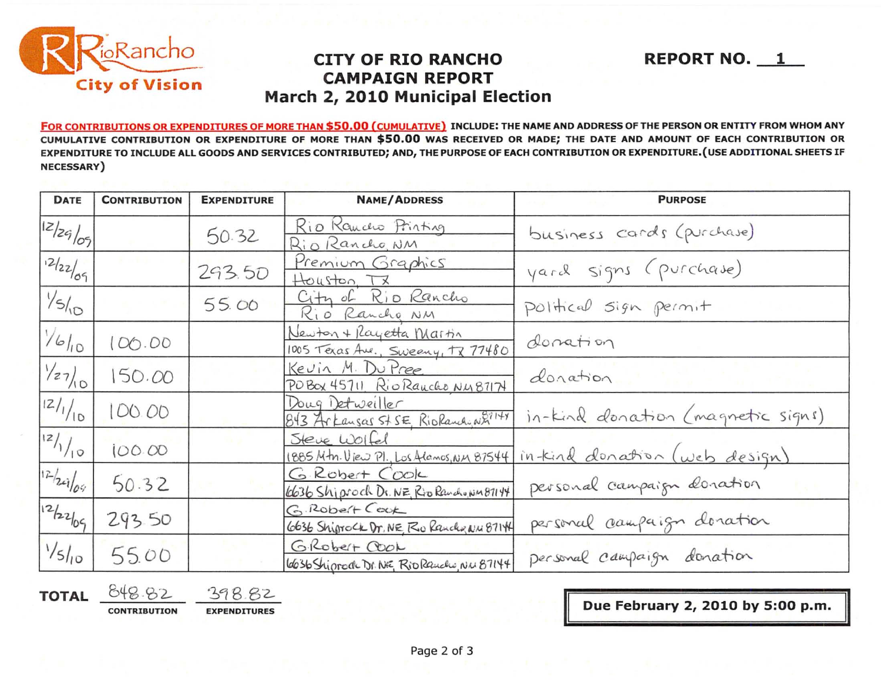

### **CITY OF RIO RANCHO CAMPAIGN REPORT** March 2, 2010 Municipal Election

FOR CONTRIBUTIONS OR EXPENDITURES OF MORE THAN \$50.00 (CUMULATIVE) INCLUDE: THE NAME AND ADDRESS OF THE PERSON OR ENTITY FROM WHOM ANY CUMULATIVE CONTRIBUTION OR EXPENDITURE OF MORE THAN \$50.00 WAS RECEIVED OR MADE; THE DATE AND AMOUNT OF EACH CONTRIBUTION OR EXPENDITURE TO INCLUDE ALL GOODS AND SERVICES CONTRIBUTED; AND, THE PURPOSE OF EACH CONTRIBUTION OR EXPENDITURE. (USE ADDITIONAL SHEETS IF NECESSARY)

| DATE                          | <b>CONTRIBUTION</b><br><b>EXPENDITURE</b> |        | <b>NAME/ADDRESS</b>                                          | <b>PURPOSE</b>                    |  |
|-------------------------------|-------------------------------------------|--------|--------------------------------------------------------------|-----------------------------------|--|
| 12/29/09                      |                                           | 50.32  | Rio Kancho Printing<br>Rio Rancho, NM                        | business cards (purchase)         |  |
| 12/22/09                      |                                           | 293.50 | Premium Graphics<br>Houston, TX                              | yard signs (purchase)             |  |
| $\frac{1}{5}$                 |                                           | 55.00  | City of Rio Rancho<br>Rio Rancho NM                          | Political sign permit             |  |
| 1/6/10                        | 00.00                                     |        | Newton + Rayetta Martin<br>1005 Texas Ave., Sweeny, TX 77480 | donation                          |  |
| $\frac{1}{27}$                | 150.00                                    |        | Kevin M. Du Pree<br>POBOX 45711 Rio Rancho NM87174           | donation                          |  |
| 2/1/10                        | 00.00                                     |        | Doug Detweiller<br>843 Arkansas St SE, RioRandoW27141        | in-Kind donation (magnetic signs) |  |
| z/1/10                        | 100.00                                    |        | Steve Wolfel<br>1885 Mtn. View Pl., Los Alamos, NM 87544     | intend donation (web design)      |  |
| 12/24/04                      | 50.32                                     |        | G Robert Cook<br>6636 Shiproch Dr. NE, Rio Randwin 87144     | personal campaign donation        |  |
| 12/22/09                      | 293.50                                    |        | G.RODELT COOK<br>6636 Shiprock Dr. NE Ro Ranch & N.W 8714    | personal campaign donation        |  |
| $\frac{1}{5}$ l <sub>10</sub> | 55.00                                     |        | GRODELT COOL<br>6636 Shiprode Dr. NE, Rio Rauche, NW 87144   | Dersonal campaign donation        |  |

**TOTAL** 

398.82 **CONTRIBUTION EXPENDITURES** 

Due February 2, 2010 by 5:00 p.m.

**REPORT NO. 1**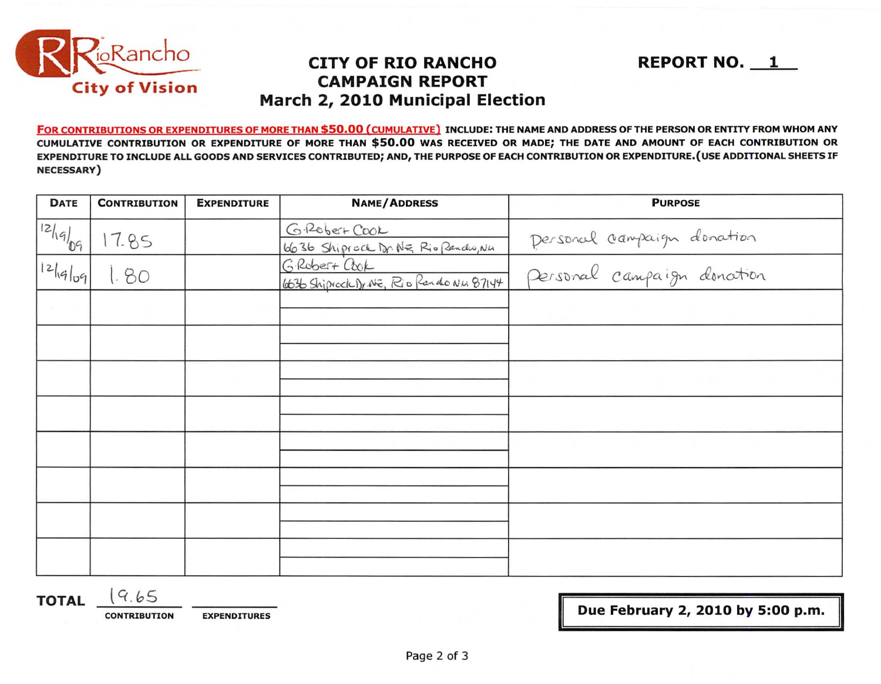

### **CITY OF RIO RANCHO CAMPAIGN REPORT** March 2, 2010 Municipal Election

FOR CONTRIBUTIONS OR EXPENDITURES OF MORE THAN \$50.00 (CUMULATIVE) INCLUDE: THE NAME AND ADDRESS OF THE PERSON OR ENTITY FROM WHOM ANY CUMULATIVE CONTRIBUTION OR EXPENDITURE OF MORE THAN \$50.00 WAS RECEIVED OR MADE; THE DATE AND AMOUNT OF EACH CONTRIBUTION OR EXPENDITURE TO INCLUDE ALL GOODS AND SERVICES CONTRIBUTED; AND, THE PURPOSE OF EACH CONTRIBUTION OR EXPENDITURE. (USE ADDITIONAL SHEETS IF NECESSARY)

| <b>DATE</b> | <b>CONTRIBUTION</b> | <b>EXPENDITURE</b> | <b>NAME/ADDRESS</b>                                      | <b>PURPOSE</b>             |
|-------------|---------------------|--------------------|----------------------------------------------------------|----------------------------|
| 121.9/09    | 17.85               |                    | G. Robert Cool<br>6636 Shiprock Dr. NE Rio Pandro, Nu    | Dersonal campaign donation |
| 12 q q      | 1.80                |                    | GRODET+ COOK<br>6636 Shipicck Dr. NE, Rio Pardo Nu 87144 | Personal campaign donotion |
|             |                     |                    |                                                          |                            |
|             |                     |                    |                                                          |                            |
|             |                     |                    |                                                          |                            |
|             |                     |                    |                                                          |                            |
|             |                     |                    |                                                          |                            |
|             |                     |                    |                                                          |                            |
|             |                     |                    |                                                          |                            |
|             |                     |                    |                                                          |                            |

 $(9.65)$ **TOTAL** 

**CONTRIBUTION** 

**EXPENDITURES** 

Due February 2, 2010 by 5:00 p.m.

**REPORT NO. 1**